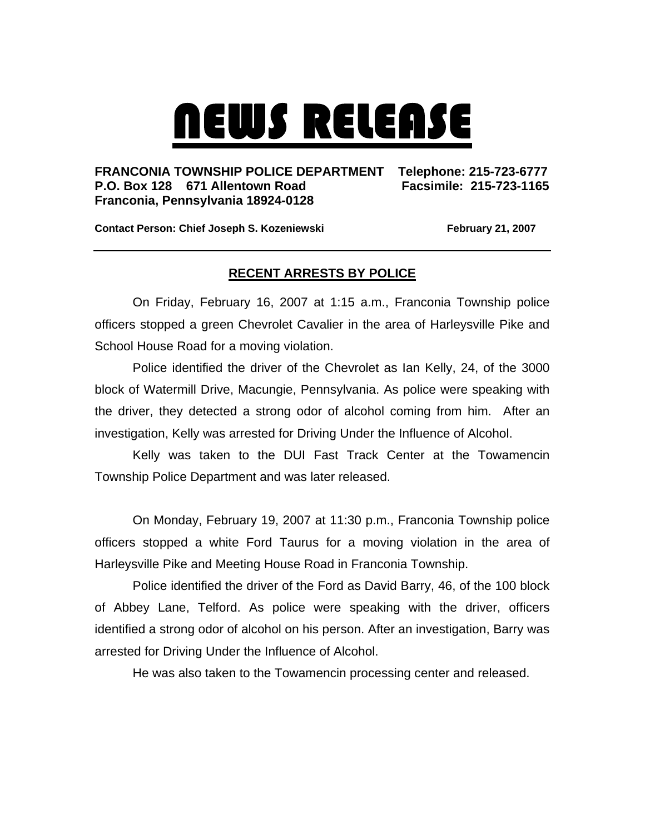## NEWS RELEASE

## **FRANCONIA TOWNSHIP POLICE DEPARTMENT Telephone: 215-723-6777 P.O. Box 128 671 Allentown Road Facsimile: 215-723-1165 Franconia, Pennsylvania 18924-0128**

**Contact Person: Chief Joseph S. Kozeniewski February 21, 2007** 

## **RECENT ARRESTS BY POLICE**

 On Friday, February 16, 2007 at 1:15 a.m., Franconia Township police officers stopped a green Chevrolet Cavalier in the area of Harleysville Pike and School House Road for a moving violation.

 Police identified the driver of the Chevrolet as Ian Kelly, 24, of the 3000 block of Watermill Drive, Macungie, Pennsylvania. As police were speaking with the driver, they detected a strong odor of alcohol coming from him. After an investigation, Kelly was arrested for Driving Under the Influence of Alcohol.

 Kelly was taken to the DUI Fast Track Center at the Towamencin Township Police Department and was later released.

On Monday, February 19, 2007 at 11:30 p.m., Franconia Township police officers stopped a white Ford Taurus for a moving violation in the area of Harleysville Pike and Meeting House Road in Franconia Township.

 Police identified the driver of the Ford as David Barry, 46, of the 100 block of Abbey Lane, Telford. As police were speaking with the driver, officers identified a strong odor of alcohol on his person. After an investigation, Barry was arrested for Driving Under the Influence of Alcohol.

He was also taken to the Towamencin processing center and released.